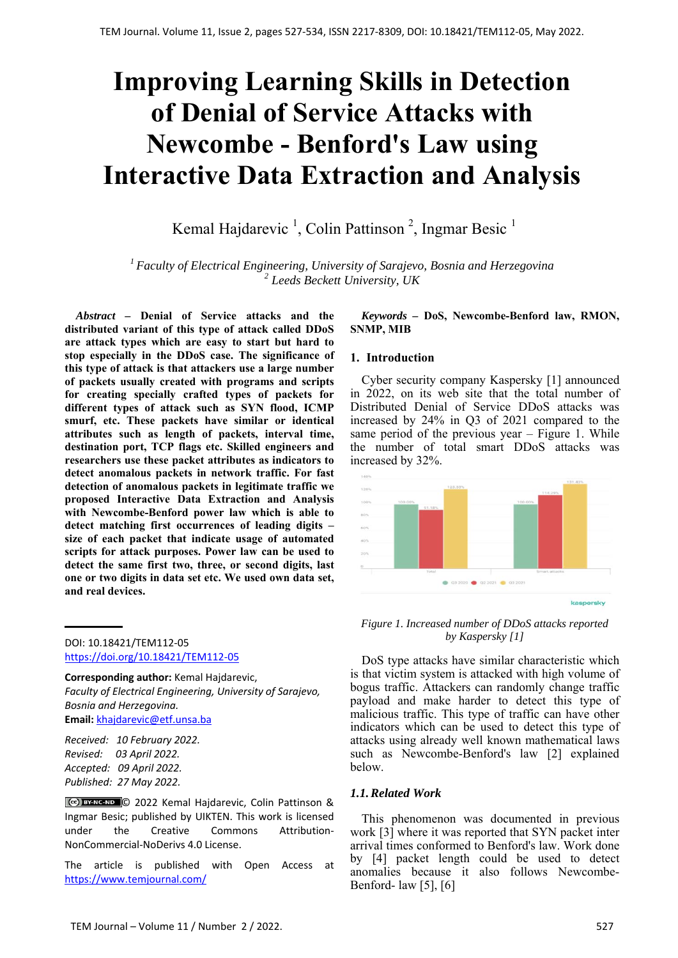# **Improving Learning Skills in Detection of Denial of Service Attacks with Newcombe - Benford's Law using Interactive Data Extraction and Analysis**

Kemal Hajdarevic<sup>1</sup>, Colin Pattinson<sup>2</sup>, Ingmar Besic<sup>1</sup>

*1 Faculty of Electrical Engineering, University of Sarajevo, Bosnia and Herzegovina 2 Leeds Beckett University, UK*

*Abstract –* **Denial of Service attacks and the distributed variant of this type of attack called DDoS are attack types which are easy to start but hard to stop especially in the DDoS case. The significance of this type of attack is that attackers use a large number of packets usually created with programs and scripts for creating specially crafted types of packets for different types of attack such as SYN flood, ICMP smurf, etc. These packets have similar or identical attributes such as length of packets, interval time, destination port, TCP flags etc. Skilled engineers and researchers use these packet attributes as indicators to detect anomalous packets in network traffic. For fast detection of anomalous packets in legitimate traffic we proposed Interactive Data Extraction and Analysis with Newcombe-Benford power law which is able to detect matching first occurrences of leading digits – size of each packet that indicate usage of automated scripts for attack purposes. Power law can be used to detect the same first two, three, or second digits, last one or two digits in data set etc. We used own data set, and real devices.**

DOI: 10.18421/TEM112-05 [https://doi.org/10.18421/TEM112](https://doi.org/10.18421/TEM112-05)-05

**Corresponding author:** Kemal Hajdarevic, *Faculty of Electrical Engineering, University of Sarajevo, Bosnia and Herzegovina.*  **Email:** khajdarevic@etf.unsa.ba

*Received: 10 February 2022. Revised: 03 April 2022. Accepted: 09 April 2022. Published: 27 May 2022.* 

© 2022 Kemal Hajdarevic, Colin Pattinson & Ingmar Besic; published by UIKTEN. This work is licensed under the Creative Commons Attribution‐ NonCommercial‐NoDerivs 4.0 License.

The article is published with Open Access at https://www.temjournal.com/

*Keywords –* **DoS, Newcombe-Benford law, RMON, SNMP, MIB** 

## **1. Introduction**

Cyber security company Kaspersky [1] announced in 2022, on its web site that the total number of Distributed Denial of Service DDoS attacks was increased by 24% in Q3 of 2021 compared to the same period of the previous year – Figure 1. While the number of total smart DDoS attacks was increased by 32%.



*Figure 1. Increased number of DDoS attacks reported by Kaspersky [1]* 

DoS type attacks have similar characteristic which is that victim system is attacked with high volume of bogus traffic. Attackers can randomly change traffic payload and make harder to detect this type of malicious traffic. This type of traffic can have other indicators which can be used to detect this type of attacks using already well known mathematical laws such as Newcombe-Benford's law [2] explained below.

# *1.1.Related Work*

This phenomenon was documented in previous work [3] where it was reported that SYN packet inter arrival times conformed to Benford's law. Work done by [4] packet length could be used to detect anomalies because it also follows Newcombe-Benford- law [5], [6]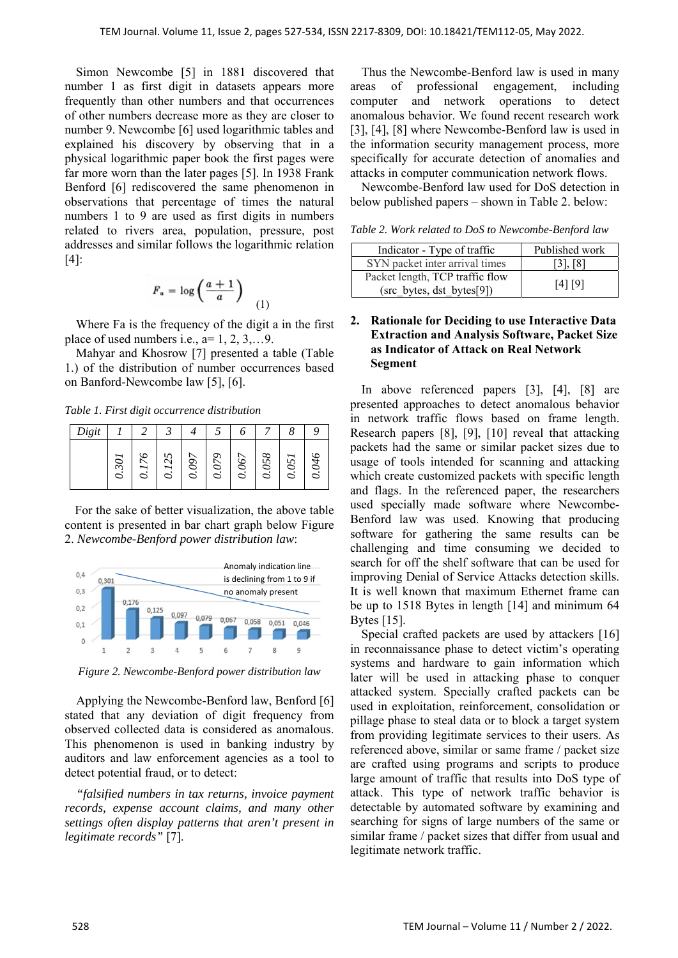Simon Newcombe [5] in 1881 discovered that number 1 as first digit in datasets appears more frequently than other numbers and that occurrences of other numbers decrease more as they are closer to number 9. Newcombe [6] used logarithmic tables and explained his discovery by observing that in a physical logarithmic paper book the first pages were far more worn than the later pages [5]. In 1938 Frank Benford [6] rediscovered the same phenomenon in observations that percentage of times the natural numbers 1 to 9 are used as first digits in numbers related to rivers area, population, pressure, post addresses and similar follows the logarithmic relation [4]:

$$
F_a = \log\left(\frac{a+1}{a}\right) \tag{1}
$$

Where Fa is the frequency of the digit a in the first place of used numbers i.e.,  $a=1, 2, 3, \ldots 9$ .

Mahyar and Khosrow [7] presented a table (Table 1.) of the distribution of number occurrences based on Banford-Newcombe law [5], [6].

*Table 1. First digit occurrence distribution* 

| Digit |              |   |                         |        |        |                    |           |         |        |
|-------|--------------|---|-------------------------|--------|--------|--------------------|-----------|---------|--------|
|       | $\Im O$<br>C | ○ | ∽<br>$\mathcal{C}$<br>○ | ◡<br>Š | پ<br>S | $\mathcal{S}$<br>Š | 958<br>Ò. | 25<br>○ | А<br>c |

For the sake of better visualization, the above table content is presented in bar chart graph below Figure 2. *Newcombe-Benford power distribution law*:



*Figure 2. Newcombe-Benford power distribution law* 

Applying the Newcombe-Benford law, Benford [6] stated that any deviation of digit frequency from observed collected data is considered as anomalous. This phenomenon is used in banking industry by auditors and law enforcement agencies as a tool to detect potential fraud, or to detect:

*"falsified numbers in tax returns, invoice payment records, expense account claims, and many other settings often display patterns that aren't present in legitimate records"* [7].

Thus the Newcombe-Benford law is used in many areas of professional engagement, including computer and network operations to detect anomalous behavior. We found recent research work [3], [4], [8] where Newcombe-Benford law is used in the information security management process, more specifically for accurate detection of anomalies and attacks in computer communication network flows.

Newcombe-Benford law used for DoS detection in below published papers – shown in Table 2. below:

*Table 2. Work related to DoS to Newcombe-Benford law* 

| Indicator - Type of traffic                                  | Published work |
|--------------------------------------------------------------|----------------|
| SYN packet inter arrival times                               | $[3]$ , $[8]$  |
| Packet length, TCP traffic flow<br>(src_bytes, dst_bytes[9]) | [4] [9]        |

## **2. Rationale for Deciding to use Interactive Data Extraction and Analysis Software, Packet Size as Indicator of Attack on Real Network Segment**

In above referenced papers [3], [4], [8] are presented approaches to detect anomalous behavior in network traffic flows based on frame length. Research papers [8], [9], [10] reveal that attacking packets had the same or similar packet sizes due to usage of tools intended for scanning and attacking which create customized packets with specific length and flags. In the referenced paper, the researchers used specially made software where Newcombe-Benford law was used. Knowing that producing software for gathering the same results can be challenging and time consuming we decided to search for off the shelf software that can be used for improving Denial of Service Attacks detection skills. It is well known that maximum Ethernet frame can be up to 1518 Bytes in length [14] and minimum 64 Bytes [15].

Special crafted packets are used by attackers [16] in reconnaissance phase to detect victim's operating systems and hardware to gain information which later will be used in attacking phase to conquer attacked system. Specially crafted packets can be used in exploitation, reinforcement, consolidation or pillage phase to steal data or to block a target system from providing legitimate services to their users. As referenced above, similar or same frame / packet size are crafted using programs and scripts to produce large amount of traffic that results into DoS type of attack. This type of network traffic behavior is detectable by automated software by examining and searching for signs of large numbers of the same or similar frame / packet sizes that differ from usual and legitimate network traffic.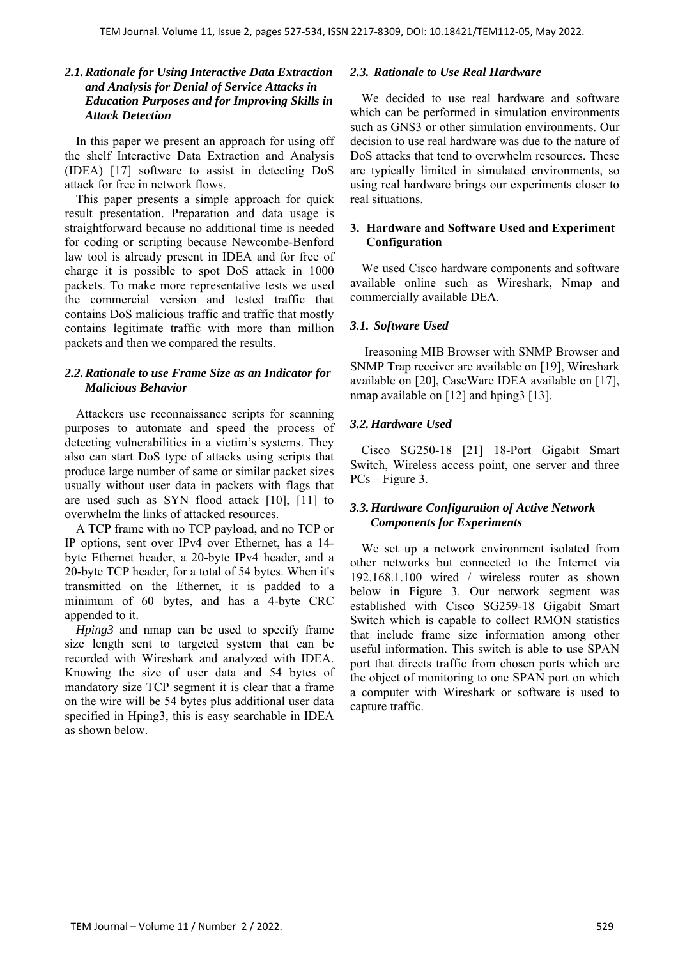## *2.1.Rationale for Using Interactive Data Extraction and Analysis for Denial of Service Attacks in Education Purposes and for Improving Skills in Attack Detection*

In this paper we present an approach for using off the shelf Interactive Data Extraction and Analysis (IDEA) [17] software to assist in detecting DoS attack for free in network flows.

This paper presents a simple approach for quick result presentation. Preparation and data usage is straightforward because no additional time is needed for coding or scripting because Newcombe-Benford law tool is already present in IDEA and for free of charge it is possible to spot DoS attack in 1000 packets. To make more representative tests we used the commercial version and tested traffic that contains DoS malicious traffic and traffic that mostly contains legitimate traffic with more than million packets and then we compared the results.

# *2.2.Rationale to use Frame Size as an Indicator for Malicious Behavior*

Attackers use reconnaissance scripts for scanning purposes to automate and speed the process of detecting vulnerabilities in a victim's systems. They also can start DoS type of attacks using scripts that produce large number of same or similar packet sizes usually without user data in packets with flags that are used such as SYN flood attack [10], [11] to overwhelm the links of attacked resources.

A TCP frame with no TCP payload, and no TCP or IP options, sent over IPv4 over Ethernet, has a 14 byte Ethernet header, a 20-byte IPv4 header, and a 20-byte TCP header, for a total of 54 bytes. When it's transmitted on the Ethernet, it is padded to a minimum of 60 bytes, and has a 4-byte CRC appended to it.

*Hping3* and nmap can be used to specify frame size length sent to targeted system that can be recorded with Wireshark and analyzed with IDEA. Knowing the size of user data and 54 bytes of mandatory size TCP segment it is clear that a frame on the wire will be 54 bytes plus additional user data specified in Hping3, this is easy searchable in IDEA as shown below.

#### *2.3. Rationale to Use Real Hardware*

We decided to use real hardware and software which can be performed in simulation environments such as GNS3 or other simulation environments. Our decision to use real hardware was due to the nature of DoS attacks that tend to overwhelm resources. These are typically limited in simulated environments, so using real hardware brings our experiments closer to real situations.

# **3. Hardware and Software Used and Experiment Configuration**

We used Cisco hardware components and software available online such as Wireshark, Nmap and commercially available DEA.

# *3.1. Software Used*

 Ireasoning MIB Browser with SNMP Browser and SNMP Trap receiver are available on [19], Wireshark available on [20], CaseWare IDEA available on [17], nmap available on [12] and hping3 [13].

## *3.2.Hardware Used*

Cisco SG250-18 [21] 18-Port Gigabit Smart Switch, Wireless access point, one server and three PCs – Figure 3.

# *3.3.Hardware Configuration of Active Network Components for Experiments*

We set up a network environment isolated from other networks but connected to the Internet via 192.168.1.100 wired / wireless router as shown below in Figure 3. Our network segment was established with Cisco SG259-18 Gigabit Smart Switch which is capable to collect RMON statistics that include frame size information among other useful information. This switch is able to use SPAN port that directs traffic from chosen ports which are the object of monitoring to one SPAN port on which a computer with Wireshark or software is used to capture traffic.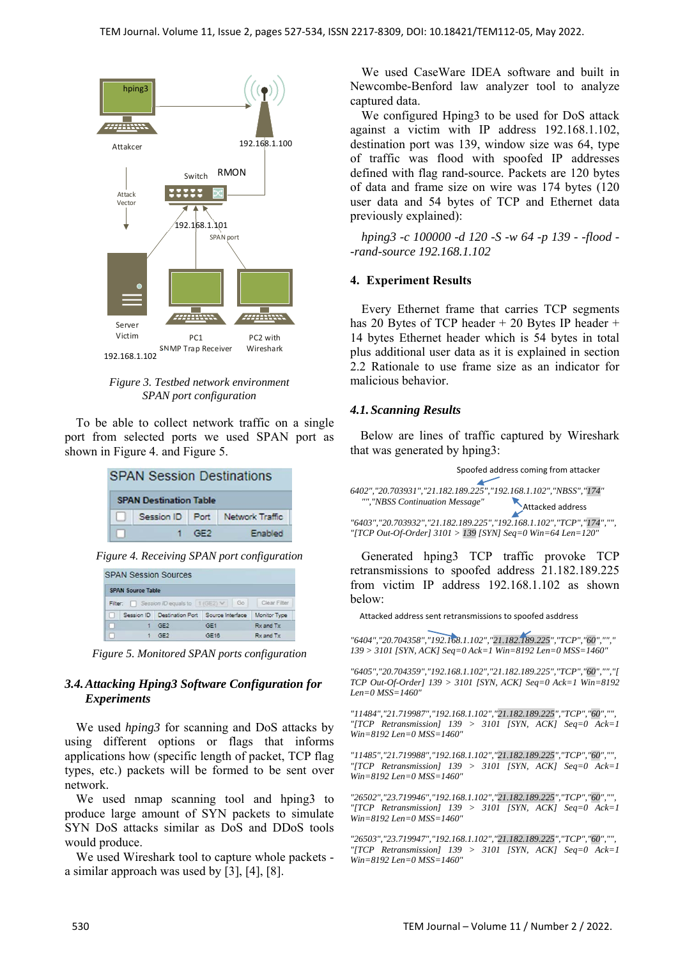

*Figure 3. Testbed network environment SPAN port configuration* 

To be able to collect network traffic on a single port from selected ports we used SPAN port as shown in Figure 4. and Figure 5.

| <b>SPAN Session Destinations</b> |  |     |                                 |  |
|----------------------------------|--|-----|---------------------------------|--|
| <b>SPAN Destination Table</b>    |  |     |                                 |  |
|                                  |  |     | Session ID Port Network Traffic |  |
|                                  |  | GF2 | Enabled                         |  |

*Figure 4. Receiving SPAN port configuration* 

|              |                          | <b>SPAN Session Sources</b>              |                  |              |  |
|--------------|--------------------------|------------------------------------------|------------------|--------------|--|
|              | <b>SPAN Source Table</b> |                                          |                  |              |  |
|              |                          | Filter: Session ID equals to   1 (GE2) V | Go               | Clear Filter |  |
| $\mathbf{1}$ | Session ID               | <b>Destination Port</b>                  | Source Interface | Monitor Type |  |
| - 1          |                          | GF2                                      | GE <sub>1</sub>  | Rx and Tx    |  |
| GF2          |                          | GE16                                     | Rx and Tx        |              |  |

*Figure 5. Monitored SPAN ports configuration* 

## *3.4.Attacking Hping3 Software Configuration for Experiments*

We used *hping3* for scanning and DoS attacks by using different options or flags that informs applications how (specific length of packet, TCP flag types, etc.) packets will be formed to be sent over network.

We used nmap scanning tool and hping3 to produce large amount of SYN packets to simulate SYN DoS attacks similar as DoS and DDoS tools would produce.

We used Wireshark tool to capture whole packets a similar approach was used by [3], [4], [8].

We used CaseWare IDEA software and built in Newcombe-Benford law analyzer tool to analyze captured data.

We configured Hping3 to be used for DoS attack against a victim with IP address 192.168.1.102, destination port was 139, window size was 64, type of traffic was flood with spoofed IP addresses defined with flag rand-source. Packets are 120 bytes of data and frame size on wire was 174 bytes (120 user data and 54 bytes of TCP and Ethernet data previously explained):

*hping3 -c 100000 -d 120 -S -w 64 -p 139 - -flood - -rand-source 192.168.1.102* 

## **4. Experiment Results**

Every Ethernet frame that carries TCP segments has 20 Bytes of TCP header + 20 Bytes IP header + 14 bytes Ethernet header which is 54 bytes in total plus additional user data as it is explained in section 2.2 Rationale to use frame size as an indicator for malicious behavior.

#### *4.1.Scanning Results*

Below are lines of traffic captured by Wireshark that was generated by hping3:

|                                 | Spoofed address coming from attacker                                                                                                    |
|---------------------------------|-----------------------------------------------------------------------------------------------------------------------------------------|
| "", "NBSS Continuation Message" | 6402","20.703931","21.182.189.225","192.168.1.102","NBSS","174"<br>Attacked address                                                     |
|                                 | "6403", "20.703932", "21.182.189.225", "192.168.1.102", "TCP", "174", "",<br>"[TCP Out-Of-Order] 3101 > 139 [SYN] Seq=0 Win=64 Len=120" |

Generated hping3 TCP traffic provoke TCP retransmissions to spoofed address 21.182.189.225 from victim IP address 192.168.1.102 as shown below:

Attacked address sent retransmissions to spoofed asddress

*"6404","20.704358","192.168.1.102","21.182.189.225","TCP","60",""," 139 > 3101 [SYN, ACK] Seq=0 Ack=1 Win=8192 Len=0 MSS=1460"* 

*"6405","20.704359","192.168.1.102","21.182.189.225","TCP","60","","[ TCP Out-Of-Order] 139 > 3101 [SYN, ACK] Seq=0 Ack=1 Win=8192 Len=0 MSS=1460"* 

*"11484","21.719987","192.168.1.102","21.182.189.225","TCP","60","", "[TCP Retransmission] 139 > 3101 [SYN, ACK] Seq=0 Ack=1 Win=8192 Len=0 MSS=1460"* 

*"11485","21.719988","192.168.1.102","21.182.189.225","TCP","60","", "[TCP Retransmission] 139 > 3101 [SYN, ACK] Seq=0 Ack=1 Win=8192 Len=0 MSS=1460"* 

*"26502","23.719946","192.168.1.102","21.182.189.225","TCP","60","", "[TCP Retransmission] 139 > 3101 [SYN, ACK] Seq=0 Ack=1 Win=8192 Len=0 MSS=1460"* 

*"26503","23.719947","192.168.1.102","21.182.189.225","TCP","60","", "[TCP Retransmission] 139 > 3101 [SYN, ACK] Seq=0 Ack=1 Win=8192 Len=0 MSS=1460"*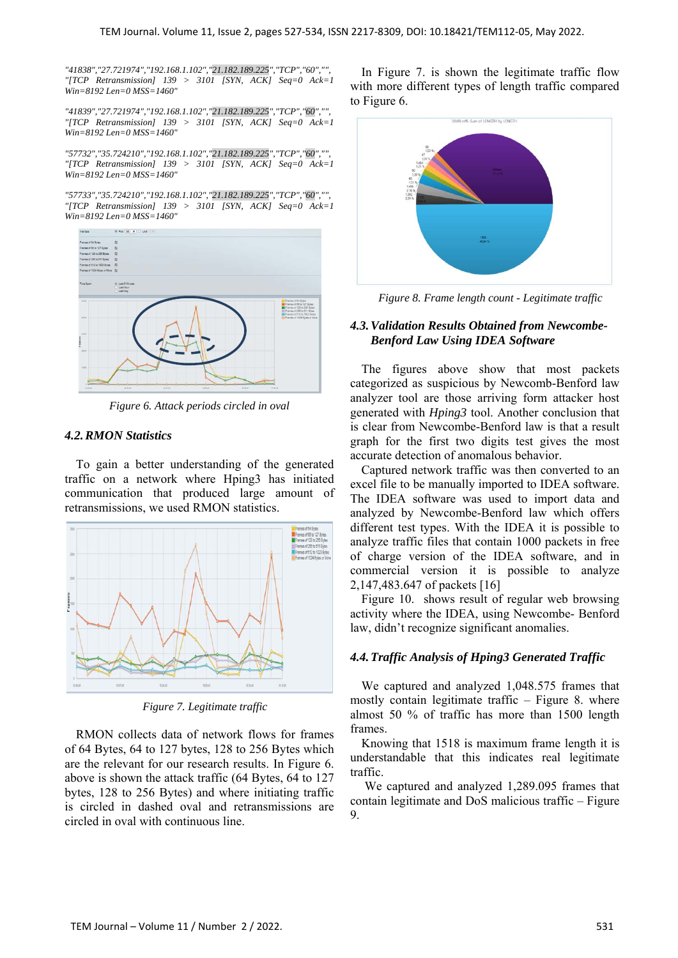*"41838","27.721974","192.168.1.102","21.182.189.225","TCP","60","", "[TCP Retransmission] 139 > 3101 [SYN, ACK] Seq=0 Ack=1 Win=8192 Len=0 MSS=1460"* 

*"41839","27.721974","192.168.1.102","21.182.189.225","TCP","60","", "[TCP Retransmission] 139 > 3101 [SYN, ACK] Seq=0 Ack=1 Win=8192 Len=0 MSS=1460"* 

*"57732","35.724210","192.168.1.102","21.182.189.225","TCP","60","", "[TCP Retransmission] 139 > 3101 [SYN, ACK] Seq=0 Ack=1 Win=8192 Len=0 MSS=1460"* 

*"57733","35.724210","192.168.1.102","21.182.189.225","TCP","60","", "[TCP Retransmission] 139 > 3101 [SYN, ACK] Seq=0 Ack=1 Win=8192 Len=0 MSS=1460"* 



*Figure 6. Attack periods circled in oval* 

# *4.2.RMON Statistics*

To gain a better understanding of the generated traffic on a network where Hping3 has initiated communication that produced large amount of retransmissions, we used RMON statistics.



*Figure 7. Legitimate traffic* 

RMON collects data of network flows for frames of 64 Bytes, 64 to 127 bytes, 128 to 256 Bytes which are the relevant for our research results. In Figure 6. above is shown the attack traffic (64 Bytes, 64 to 127 bytes, 128 to 256 Bytes) and where initiating traffic is circled in dashed oval and retransmissions are circled in oval with continuous line.

In Figure 7. is shown the legitimate traffic flow with more different types of length traffic compared to Figure 6.



*Figure 8. Frame length count - Legitimate traffic* 

# *4.3.Validation Results Obtained from Newcombe-Benford Law Using IDEA Software*

The figures above show that most packets categorized as suspicious by Newcomb-Benford law analyzer tool are those arriving form attacker host generated with *Hping3* tool. Another conclusion that is clear from Newcombe-Benford law is that a result graph for the first two digits test gives the most accurate detection of anomalous behavior.

Captured network traffic was then converted to an excel file to be manually imported to IDEA software. The IDEA software was used to import data and analyzed by Newcombe-Benford law which offers different test types. With the IDEA it is possible to analyze traffic files that contain 1000 packets in free of charge version of the IDEA software, and in commercial version it is possible to analyze 2,147,483.647 of packets [16]

Figure 10. shows result of regular web browsing activity where the IDEA, using Newcombe- Benford law, didn't recognize significant anomalies.

# *4.4.Traffic Analysis of Hping3 Generated Traffic*

We captured and analyzed 1,048.575 frames that mostly contain legitimate traffic – Figure 8. where almost 50 % of traffic has more than 1500 length frames.

Knowing that 1518 is maximum frame length it is understandable that this indicates real legitimate traffic.

 We captured and analyzed 1,289.095 frames that contain legitimate and DoS malicious traffic – Figure 9.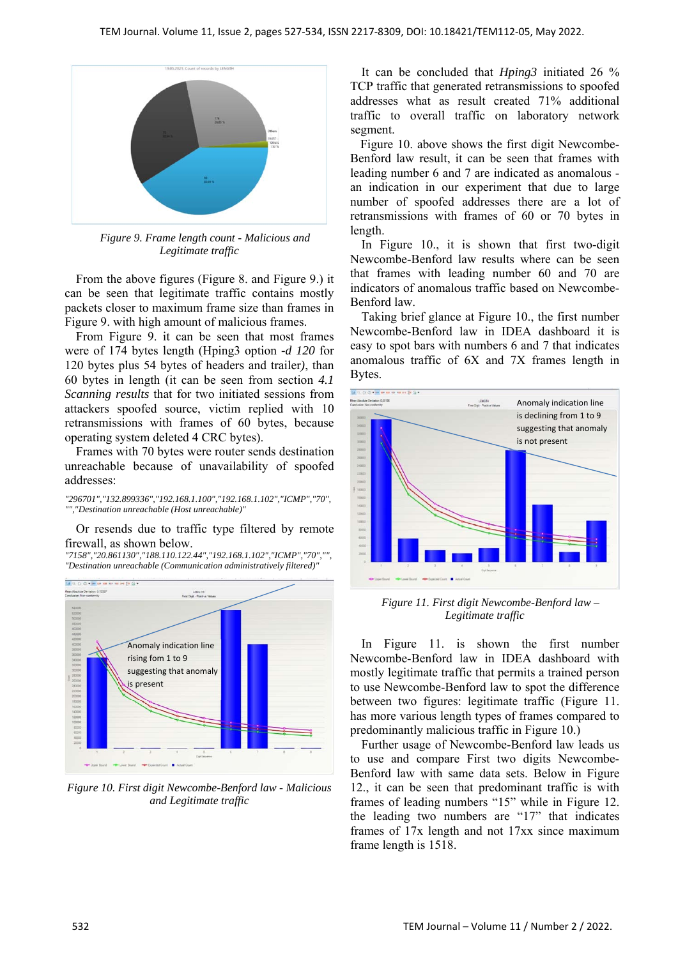

*Figure 9. Frame length count - Malicious and Legitimate traffic* 

From the above figures (Figure 8. and Figure 9.) it can be seen that legitimate traffic contains mostly packets closer to maximum frame size than frames in Figure 9. with high amount of malicious frames.

From Figure 9. it can be seen that most frames were of 174 bytes length (Hping3 option *-d 120* for 120 bytes plus 54 bytes of headers and trailer*)*, than 60 bytes in length (it can be seen from section *4.1 Scanning results* that for two initiated sessions from attackers spoofed source, victim replied with 10 retransmissions with frames of 60 bytes, because operating system deleted 4 CRC bytes).

Frames with 70 bytes were router sends destination unreachable because of unavailability of spoofed addresses:

*"296701","132.899336","192.168.1.100","192.168.1.102","ICMP","70", "","Destination unreachable (Host unreachable)"* 

Or resends due to traffic type filtered by remote firewall, as shown below.

*"7158","20.861130","188.110.122.44","192.168.1.102","ICMP","70","", "Destination unreachable (Communication administratively filtered)"* 



*Figure 10. First digit Newcombe-Benford law - Malicious and Legitimate traffic* 

It can be concluded that *Hping3* initiated 26 % TCP traffic that generated retransmissions to spoofed addresses what as result created 71% additional traffic to overall traffic on laboratory network segment.

Figure 10. above shows the first digit Newcombe-Benford law result, it can be seen that frames with leading number 6 and 7 are indicated as anomalous an indication in our experiment that due to large number of spoofed addresses there are a lot of retransmissions with frames of 60 or 70 bytes in length.

In Figure 10., it is shown that first two-digit Newcombe-Benford law results where can be seen that frames with leading number 60 and 70 are indicators of anomalous traffic based on Newcombe-Benford law.

Taking brief glance at Figure 10., the first number Newcombe-Benford law in IDEA dashboard it is easy to spot bars with numbers 6 and 7 that indicates anomalous traffic of 6X and 7X frames length in Bytes.



*Figure 11. First digit Newcombe-Benford law – Legitimate traffic* 

In Figure 11. is shown the first number Newcombe-Benford law in IDEA dashboard with mostly legitimate traffic that permits a trained person to use Newcombe-Benford law to spot the difference between two figures: legitimate traffic (Figure 11. has more various length types of frames compared to predominantly malicious traffic in Figure 10.)

Further usage of Newcombe-Benford law leads us to use and compare First two digits Newcombe-Benford law with same data sets. Below in Figure 12., it can be seen that predominant traffic is with frames of leading numbers "15" while in Figure 12. the leading two numbers are "17" that indicates frames of 17x length and not 17xx since maximum frame length is 1518.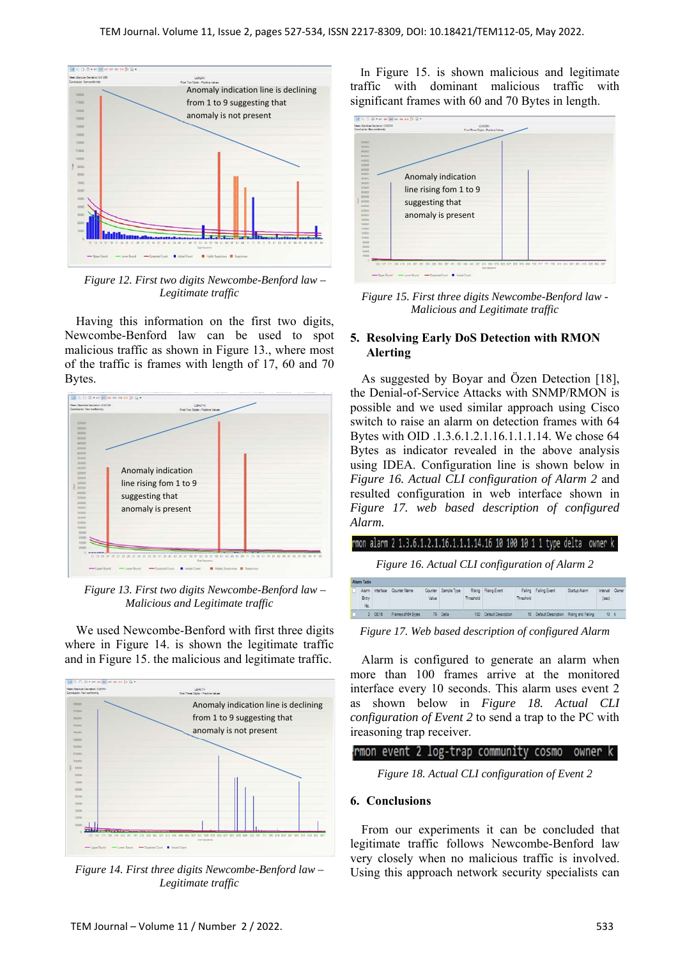

*Figure 12. First two digits Newcombe-Benford law – Legitimate traffic* 

Having this information on the first two digits, Newcombe-Benford law can be used to spot malicious traffic as shown in Figure 13., where most of the traffic is frames with length of 17, 60 and 70 Bytes.



*Figure 13. First two digits Newcombe-Benford law – Malicious and Legitimate traffic* 

We used Newcombe-Benford with first three digits where in Figure 14. is shown the legitimate traffic and in Figure 15. the malicious and legitimate traffic.



*Figure 14. First three digits Newcombe-Benford law – Legitimate traffic* 

In Figure 15. is shown malicious and legitimate traffic with dominant malicious traffic with significant frames with 60 and 70 Bytes in length.



*Figure 15. First three digits Newcombe-Benford law - Malicious and Legitimate traffic* 

# **5. Resolving Early DoS Detection with RMON Alerting**

As suggested by Boyar and Özen Detection [18], the Denial-of-Service Attacks with SNMP/RMON is possible and we used similar approach using Cisco switch to raise an alarm on detection frames with 64 Bytes with OID .1.3.6.1.2.1.16.1.1.1.14. We chose 64 Bytes as indicator revealed in the above analysis using IDEA. Configuration line is shown below in *Figure 16. Actual CLI configuration of Alarm 2* and resulted configuration in web interface shown in *Figure 17. web based description of configured Alarm.*



*Figure 17. Web based description of configured Alarm* 

10 Default De

Alarm is configured to generate an alarm when more than 100 frames arrive at the monitored interface every 10 seconds. This alarm uses event 2 as shown below in *Figure 18. Actual CLI configuration of Event 2* to send a trap to the PC with ireasoning trap receiver.

#### rmon event 2 log-trap community cosmo owner k

*Figure 18. Actual CLI configuration of Event 2* 

#### **6. Conclusions**

Frames of 64 Bytes

79 Delta

From our experiments it can be concluded that legitimate traffic follows Newcombe-Benford law very closely when no malicious traffic is involved. Using this approach network security specialists can